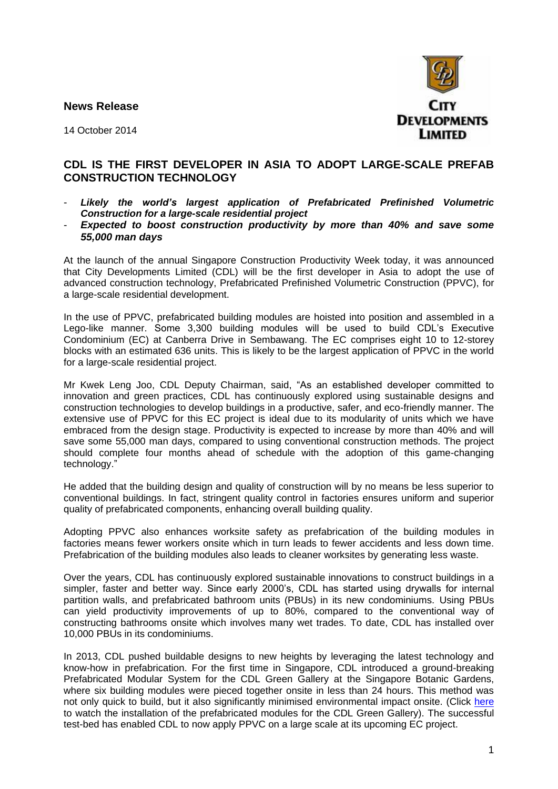**News Release** 



14 October 2014

## **CDL IS THE FIRST DEVELOPER IN ASIA TO ADOPT LARGE-SCALE PREFAB CONSTRUCTION TECHNOLOGY**

- Likely the world's largest application of Prefabricated Prefinished Volumetric *Construction for a large-scale residential project*
- *Expected to boost construction productivity by more than 40% and save some 55,000 man days*

At the launch of the annual Singapore Construction Productivity Week today, it was announced that City Developments Limited (CDL) will be the first developer in Asia to adopt the use of advanced construction technology, Prefabricated Prefinished Volumetric Construction (PPVC), for a large-scale residential development.

In the use of PPVC, prefabricated building modules are hoisted into position and assembled in a Lego-like manner. Some 3,300 building modules will be used to build CDL's Executive Condominium (EC) at Canberra Drive in Sembawang. The EC comprises eight 10 to 12-storey blocks with an estimated 636 units. This is likely to be the largest application of PPVC in the world for a large-scale residential project.

Mr Kwek Leng Joo, CDL Deputy Chairman, said, "As an established developer committed to innovation and green practices, CDL has continuously explored using sustainable designs and construction technologies to develop buildings in a productive, safer, and eco-friendly manner. The extensive use of PPVC for this EC project is ideal due to its modularity of units which we have embraced from the design stage. Productivity is expected to increase by more than 40% and will save some 55,000 man days, compared to using conventional construction methods. The project should complete four months ahead of schedule with the adoption of this game-changing technology."

He added that the building design and quality of construction will by no means be less superior to conventional buildings. In fact, stringent quality control in factories ensures uniform and superior quality of prefabricated components, enhancing overall building quality.

Adopting PPVC also enhances worksite safety as prefabrication of the building modules in factories means fewer workers onsite which in turn leads to fewer accidents and less down time. Prefabrication of the building modules also leads to cleaner worksites by generating less waste.

Over the years, CDL has continuously explored sustainable innovations to construct buildings in a simpler, faster and better way. Since early 2000's, CDL has started using drywalls for internal partition walls, and prefabricated bathroom units (PBUs) in its new condominiums. Using PBUs can yield productivity improvements of up to 80%, compared to the conventional way of constructing bathrooms onsite which involves many wet trades. To date, CDL has installed over 10,000 PBUs in its condominiums.

In 2013, CDL pushed buildable designs to new heights by leveraging the latest technology and know-how in prefabrication. For the first time in Singapore, CDL introduced a ground-breaking Prefabricated Modular System for the CDL Green Gallery at the Singapore Botanic Gardens, where six building modules were pieced together onsite in less than 24 hours. This method was not only quick to build, but it also significantly minimised environmental impact onsite. (Click here to watch the installation of the prefabricated modules for the CDL Green Gallery). The successful test-bed has enabled CDL to now apply PPVC on a large scale at its upcoming EC project.